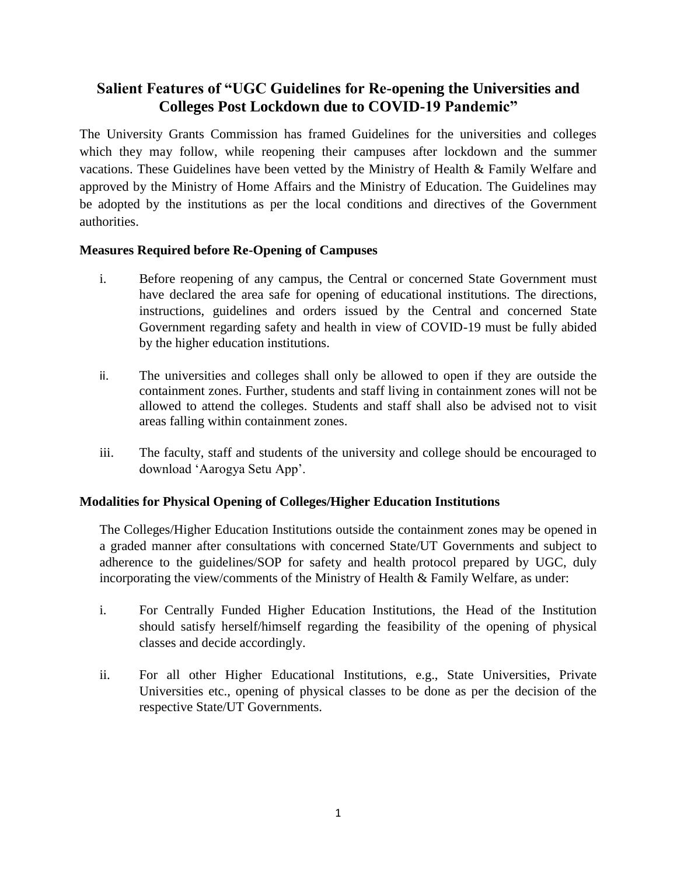# **Salient Features of "UGC Guidelines for Re-opening the Universities and Colleges Post Lockdown due to COVID-19 Pandemic"**

The University Grants Commission has framed Guidelines for the universities and colleges which they may follow, while reopening their campuses after lockdown and the summer vacations. These Guidelines have been vetted by the Ministry of Health & Family Welfare and approved by the Ministry of Home Affairs and the Ministry of Education. The Guidelines may be adopted by the institutions as per the local conditions and directives of the Government authorities.

## **Measures Required before Re-Opening of Campuses**

- i. Before reopening of any campus, the Central or concerned State Government must have declared the area safe for opening of educational institutions. The directions, instructions, guidelines and orders issued by the Central and concerned State Government regarding safety and health in view of COVID-19 must be fully abided by the higher education institutions.
- ii. The universities and colleges shall only be allowed to open if they are outside the containment zones. Further, students and staff living in containment zones will not be allowed to attend the colleges. Students and staff shall also be advised not to visit areas falling within containment zones.
- iii. The faculty, staff and students of the university and college should be encouraged to download 'Aarogya Setu App'.

# **Modalities for Physical Opening of Colleges/Higher Education Institutions**

The Colleges/Higher Education Institutions outside the containment zones may be opened in a graded manner after consultations with concerned State/UT Governments and subject to adherence to the guidelines/SOP for safety and health protocol prepared by UGC, duly incorporating the view/comments of the Ministry of Health & Family Welfare, as under:

- i. For Centrally Funded Higher Education Institutions, the Head of the Institution should satisfy herself/himself regarding the feasibility of the opening of physical classes and decide accordingly.
- ii. For all other Higher Educational Institutions, e.g., State Universities, Private Universities etc., opening of physical classes to be done as per the decision of the respective State/UT Governments.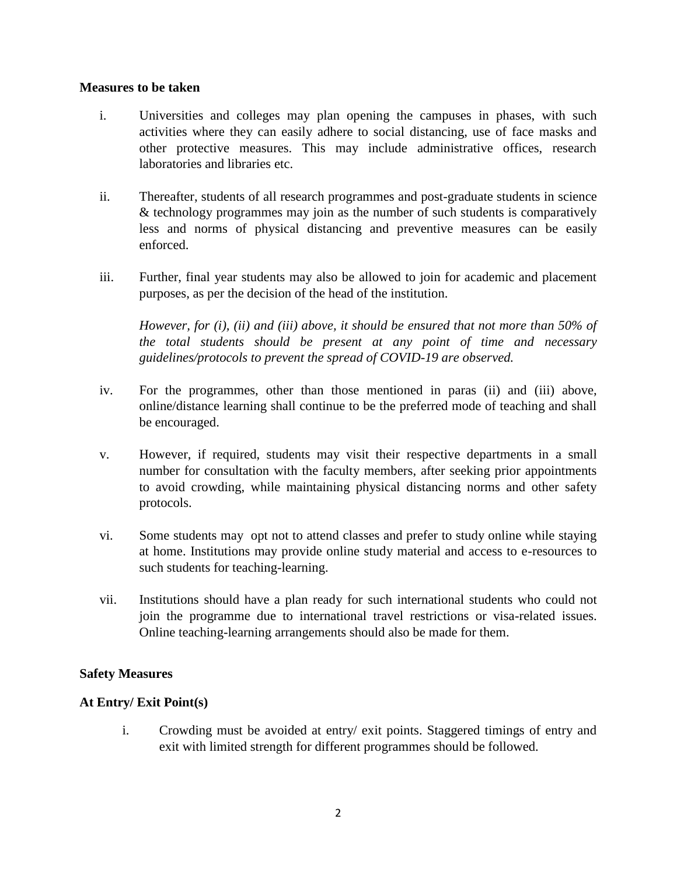#### **Measures to be taken**

- i. Universities and colleges may plan opening the campuses in phases, with such activities where they can easily adhere to social distancing, use of face masks and other protective measures. This may include administrative offices, research laboratories and libraries etc.
- ii. Thereafter, students of all research programmes and post-graduate students in science & technology programmes may join as the number of such students is comparatively less and norms of physical distancing and preventive measures can be easily enforced.
- iii. Further, final year students may also be allowed to join for academic and placement purposes, as per the decision of the head of the institution.

*However, for (i), (ii) and (iii) above, it should be ensured that not more than 50% of the total students should be present at any point of time and necessary guidelines/protocols to prevent the spread of COVID-19 are observed.*

- iv. For the programmes, other than those mentioned in paras (ii) and (iii) above, online/distance learning shall continue to be the preferred mode of teaching and shall be encouraged.
- v. However, if required, students may visit their respective departments in a small number for consultation with the faculty members, after seeking prior appointments to avoid crowding, while maintaining physical distancing norms and other safety protocols.
- vi. Some students may opt not to attend classes and prefer to study online while staying at home. Institutions may provide online study material and access to e-resources to such students for teaching-learning.
- vii. Institutions should have a plan ready for such international students who could not join the programme due to international travel restrictions or visa-related issues. Online teaching-learning arrangements should also be made for them.

#### **Safety Measures**

#### **At Entry/ Exit Point(s)**

i. Crowding must be avoided at entry/ exit points. Staggered timings of entry and exit with limited strength for different programmes should be followed.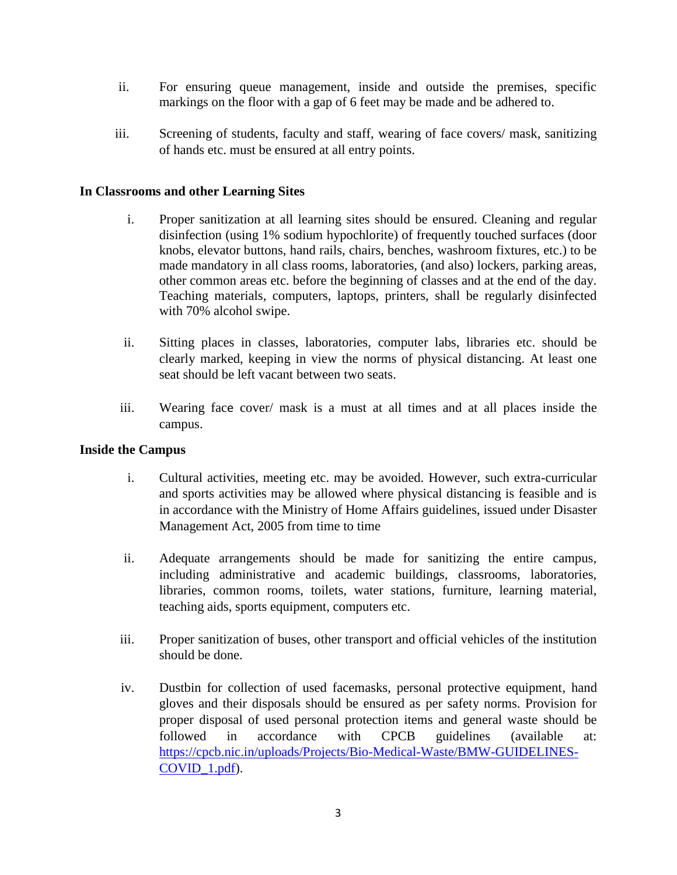- ii. For ensuring queue management, inside and outside the premises, specific markings on the floor with a gap of 6 feet may be made and be adhered to.
- iii. Screening of students, faculty and staff, wearing of face covers/ mask, sanitizing of hands etc. must be ensured at all entry points.

#### **In Classrooms and other Learning Sites**

- i. Proper sanitization at all learning sites should be ensured. Cleaning and regular disinfection (using 1% sodium hypochlorite) of frequently touched surfaces (door knobs, elevator buttons, hand rails, chairs, benches, washroom fixtures, etc.) to be made mandatory in all class rooms, laboratories, (and also) lockers, parking areas, other common areas etc. before the beginning of classes and at the end of the day. Teaching materials, computers, laptops, printers, shall be regularly disinfected with 70% alcohol swipe.
- ii. Sitting places in classes, laboratories, computer labs, libraries etc. should be clearly marked, keeping in view the norms of physical distancing. At least one seat should be left vacant between two seats.
- iii. Wearing face cover/ mask is a must at all times and at all places inside the campus.

#### **Inside the Campus**

- i. Cultural activities, meeting etc. may be avoided. However, such extra-curricular and sports activities may be allowed where physical distancing is feasible and is in accordance with the Ministry of Home Affairs guidelines, issued under Disaster Management Act, 2005 from time to time
- ii. Adequate arrangements should be made for sanitizing the entire campus, including administrative and academic buildings, classrooms, laboratories, libraries, common rooms, toilets, water stations, furniture, learning material, teaching aids, sports equipment, computers etc.
- iii. Proper sanitization of buses, other transport and official vehicles of the institution should be done.
- iv. Dustbin for collection of used facemasks, personal protective equipment, hand gloves and their disposals should be ensured as per safety norms. Provision for proper disposal of used personal protection items and general waste should be followed in accordance with CPCB guidelines (available at: [https://cpcb.nic.in/uploads/Projects/Bio-Medical-Waste/BMW-GUIDELINES-](https://cpcb.nic.in/uploads/Projects/Bio-Medical-Waste/BMW-GUIDELINES-COVID_1.pdf)[COVID\\_1.pdf\)](https://cpcb.nic.in/uploads/Projects/Bio-Medical-Waste/BMW-GUIDELINES-COVID_1.pdf).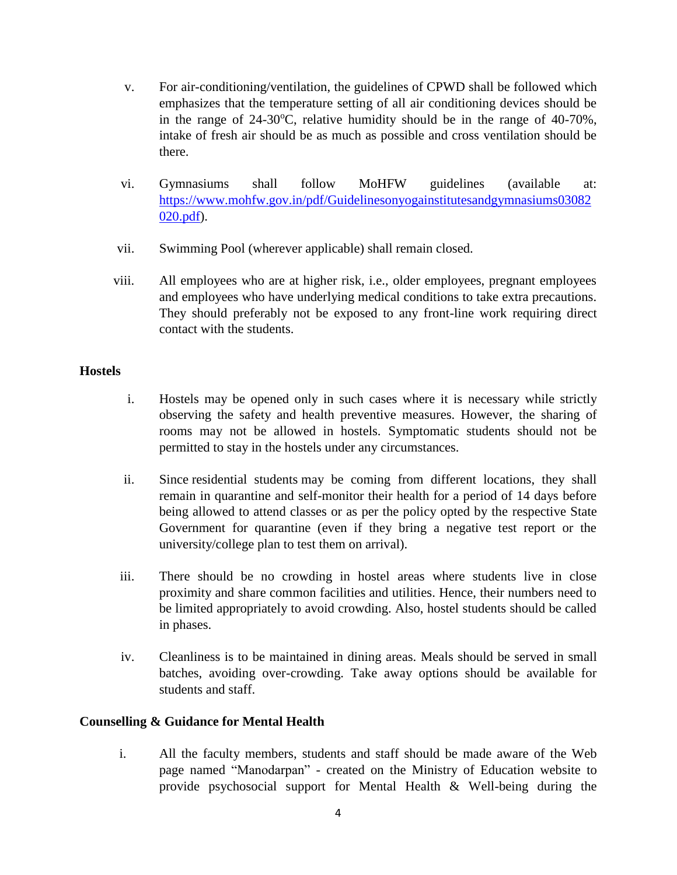- v. For air-conditioning/ventilation, the guidelines of CPWD shall be followed which emphasizes that the temperature setting of all air conditioning devices should be in the range of  $24-30^{\circ}$ C, relative humidity should be in the range of  $40-70\%$ , intake of fresh air should be as much as possible and cross ventilation should be there.
- vi. Gymnasiums shall follow MoHFW guidelines (available at: [https://www.mohfw.gov.in/pdf/Guidelinesonyogainstitutesandgymnasiums03082](https://www.mohfw.gov.in/pdf/Guidelinesonyogainstitutesandgymnasiums03082020.pdf) [020.pdf\)](https://www.mohfw.gov.in/pdf/Guidelinesonyogainstitutesandgymnasiums03082020.pdf).
- vii. Swimming Pool (wherever applicable) shall remain closed.
- viii. All employees who are at higher risk, i.e., older employees, pregnant employees and employees who have underlying medical conditions to take extra precautions. They should preferably not be exposed to any front-line work requiring direct contact with the students.

#### **Hostels**

- i. Hostels may be opened only in such cases where it is necessary while strictly observing the safety and health preventive measures. However, the sharing of rooms may not be allowed in hostels. Symptomatic students should not be permitted to stay in the hostels under any circumstances.
- ii. Since residential students may be coming from different locations, they shall remain in quarantine and self-monitor their health for a period of 14 days before being allowed to attend classes or as per the policy opted by the respective State Government for quarantine (even if they bring a negative test report or the university/college plan to test them on arrival).
- iii. There should be no crowding in hostel areas where students live in close proximity and share common facilities and utilities. Hence, their numbers need to be limited appropriately to avoid crowding. Also, hostel students should be called in phases.
- iv. Cleanliness is to be maintained in dining areas. Meals should be served in small batches, avoiding over-crowding. Take away options should be available for students and staff.

## **Counselling & Guidance for Mental Health**

i. All the faculty members, students and staff should be made aware of the Web page named "Manodarpan" - created on the Ministry of Education website to provide psychosocial support for Mental Health & Well-being during the